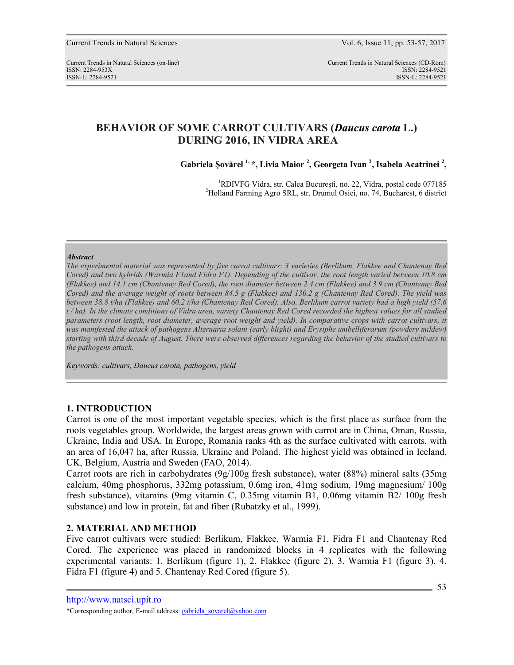# **BEHAVIOR OF SOME CARROT CULTIVARS (***Daucus carota* **L.) DURING 2016, IN VIDRA AREA**

**Gabriela Şovărel 1, \*, Livia Maior <sup>2</sup> , Georgeta Ivan <sup>2</sup> , Isabela Acatrinei <sup>2</sup> ,** 

<sup>1</sup>RDIVFG Vidra, str. Calea Bucureşti, no. 22, Vidra, postal code 077185 <sup>2</sup>Holland Farming Agro SRL, str. Drumul Osiei, no. 74, Bucharest, 6 district

#### *Abstract*

*The experimental material was represented by five carrot cultivars: 3 varieties (Berlikum, Flakkee and Chantenay Red Cored) and two hybrids (Warmia F1and Fidra F1). Depending of the cultivar, the root length varied between 10.8 cm (Flakkee) and 14.1 cm (Chantenay Red Cored), the root diameter between 2.4 cm (Flakkee) and 3.9 cm (Chantenay Red Cored) and the average weight of roots between 84.5 g (Flakkee) and 130.2 g (Chantenay Red Cored). The yield was between 38.8 t/ha (Flakkee) and 60.2 t/ha (Chantenay Red Cored). Also, Berlikum carrot variety had a high yield (57.6 t / ha). In the climate conditions of Vidra area, variety Chantenay Red Cored recorded the highest values for all studied parameters (root length, root diameter, average root weight and yield). In comparative crops with carrot cultivars, it*  was manifested the attack of pathogens Alternaria solani (early blight) and Erysiphe umbelliferarum (powdery mildew) *starting with third decade of August. There were observed differences regarding the behavior of the studied cultivars to the pathogens attack.* 

*Keywords: cultivars, Daucus carota, pathogens, yield* 

# **1. INTRODUCTION**

Carrot is one of the most important vegetable species, which is the first place as surface from the roots vegetables group. Worldwide, the largest areas grown with carrot are in China, Oman, Russia, Ukraine, India and USA. In Europe, Romania ranks 4th as the surface cultivated with carrots, with an area of 16,047 ha, after Russia, Ukraine and Poland. The highest yield was obtained in Iceland, UK, Belgium, Austria and Sweden (FAO, 2014).

Carrot roots are rich in carbohydrates (9g/100g fresh substance), water (88%) mineral salts (35mg calcium, 40mg phosphorus, 332mg potassium, 0.6mg iron, 41mg sodium, 19mg magnesium/ 100g fresh substance), vitamins (9mg vitamin C, 0.35mg vitamin B1, 0.06mg vitamin B2/ 100g fresh substance) and low in protein, fat and fiber (Rubatzky et al., 1999).

## **2. MATERIAL AND METHOD**

Five carrot cultivars were studied: Berlikum, Flakkee, Warmia F1, Fidra F1 and Chantenay Red Cored. The experience was placed in randomized blocks in 4 replicates with the following experimental variants: 1. Berlikum (figure 1), 2. Flakkee (figure 2), 3. Warmia F1 (figure 3), 4. Fidra F1 (figure 4) and 5. Chantenay Red Cored (figure 5).

http://www.natsci.upit.ro

<sup>\*</sup>Corresponding author, E-mail address: gabriela\_sovarel@yahoo.com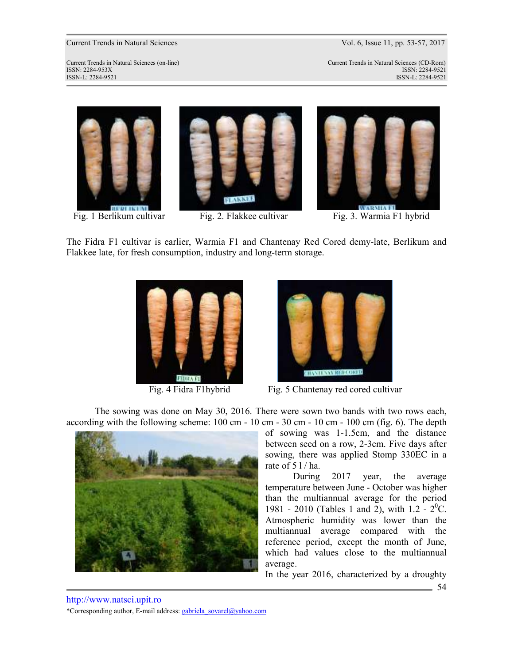# Current Trends in Natural Sciences Vol. 6, Issue 11, pp. 53-57, 2017

Current Trends in Natural Sciences (on-line) Current Trends in Natural Sciences (CD-Rom) ISSN: 2284-953XISSN: 2284-9521 ISSN-L: 2284-9521 ISSN-L: 2284-9521





Fig. 1 Berlikum cultivar Fig. 2. Flakkee cultivar Fig. 3. Warmia F1 hybrid

The Fidra F1 cultivar is earlier, Warmia F1 and Chantenay Red Cored demy-late, Berlikum and Flakkee late, for fresh consumption, industry and long-term storage.





Fig. 4 Fidra F1 hybrid Fig. 5 Chantenay red cored cultivar

The sowing was done on May 30, 2016. There were sown two bands with two rows each, according with the following scheme: 100 cm - 10 cm - 30 cm - 10 cm - 100 cm (fig. 6). The depth



of sowing was 1-1.5cm, and the distance between seed on a row, 2-3cm. Five days after sowing, there was applied Stomp 330EC in a rate of  $51/ha$ .

During 2017 year, the average temperature between June - October was higher than the multiannual average for the period 1981 - 2010 (Tables 1 and 2), with  $1.2 - 2^{0}C$ . Atmospheric humidity was lower than the multiannual average compared with the reference period, except the month of June, which had values close to the multiannual average.

In the year 2016, characterized by a droughty

54

http://www.natsci.upit.ro \*Corresponding author, E-mail address: gabriela\_sovarel@yahoo.com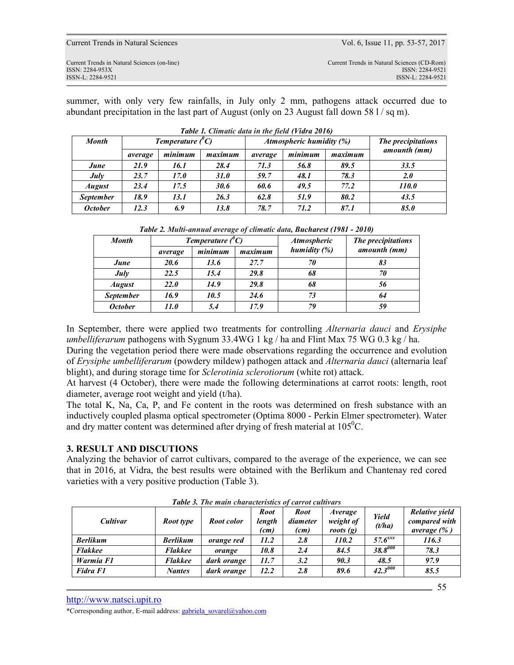| Current Trends in Natural Sciences                                                   | Vol. 6, Issue 11, pp. 53-57, 2017                                                   |
|--------------------------------------------------------------------------------------|-------------------------------------------------------------------------------------|
| Current Trends in Natural Sciences (on-line)<br>ISSN: 2284-953X<br>ISSN-L: 2284-9521 | Current Trends in Natural Sciences (CD-Rom)<br>ISSN: 2284-9521<br>ISSN-L: 2284-9521 |
|                                                                                      |                                                                                     |

summer, with only very few rainfalls, in July only 2 mm, pathogens attack occurred due to abundant precipitation in the last part of August (only on 23 August fall down 58  $1/\text{sq m}$ ).

| <b>Month</b>     | Temperature $(^{\theta}C)$ |         |         |         | Atmospheric humidity (%) | The precipitations |              |
|------------------|----------------------------|---------|---------|---------|--------------------------|--------------------|--------------|
|                  | average                    | minimum | maximum | average | minimum                  | maximum            | amounth (mm) |
| June             | 21.9                       | 16.1    | 28.4    | 71.3    | 56.8                     | 89.5               | 33.5         |
| July             | 23.7                       | 17.0    | 31.0    | 59.7    | 48.1                     | 78.3               | 2.0          |
| <b>August</b>    | 23.4                       | 17.5    | 30.6    | 60.6    | 49.5                     | 77.2               | <i>110.0</i> |
| <b>September</b> | 18.9                       | 13.1    | 26.3    | 62.8    | 51.9                     | 80.2               | 43.5         |
| <b>October</b>   | 12.3                       | 6.9     | 13.8    | 78.7    | 71.2                     | 87.1               | 85.0         |

*Table 2. Multi-annual average of climatic data, Bucharest (1981 - 2010)* 

| <b>Month</b>     |             | Temperature $(^{\theta}C)$ |         | <b>Atmospheric</b> | The precipitations |  |  |
|------------------|-------------|----------------------------|---------|--------------------|--------------------|--|--|
|                  | average     | minimum                    | maximum | humidity $(%)$     | amounth (mm)       |  |  |
| June             | 20.6        | 13.6                       | 27.7    | 70                 | 83                 |  |  |
| July             | 22.5        | 15.4                       | 29.8    | 68                 | 70                 |  |  |
| <b>August</b>    | <i>22.0</i> | 14.9                       | 29.8    | 68                 | 56                 |  |  |
| <b>September</b> | 16.9        | 10.5                       | 24.6    | 73                 | 64                 |  |  |
| <b>October</b>   | 11.0        | 5.4                        | 17.9    | 79                 | 59                 |  |  |

In September, there were applied two treatments for controlling *Alternaria dauci* and *Erysiphe umbelliferarum* pathogens with Sygnum 33.4WG 1 kg / ha and Flint Max 75 WG 0.3 kg / ha.

During the vegetation period there were made observations regarding the occurrence and evolution of *Erysiphe umbelliferarum* (powdery mildew) pathogen attack and *Alternaria dauci* (alternaria leaf blight), and during storage time for *Sclerotinia sclerotiorum* (white rot) attack.

At harvest (4 October), there were made the following determinations at carrot roots: length, root diameter, average root weight and yield (t/ha).

The total K, Na, Ca, P, and Fe content in the roots was determined on fresh substance with an inductively coupled plasma optical spectrometer (Optima 8000 - Perkin Elmer spectrometer). Water and dry matter content was determined after drying of fresh material at  $105^{\circ}$ C.

## **3. RESULT AND DISCUTIONS**

Analyzing the behavior of carrot cultivars, compared to the average of the experience, we can see that in 2016, at Vidra, the best results were obtained with the Berlikum and Chantenay red cored varieties with a very positive production (Table 3).

| Cultivar        | Root type       | Root color        | <b>Root</b><br>length<br>(cm) | <b>Root</b><br>diameter<br>(cm) | <i>Average</i><br>weight of<br>roots $(g)$ | Yield<br>(t/ha)       | Relative yield<br>compared with<br>average $(\% )$ |
|-----------------|-----------------|-------------------|-------------------------------|---------------------------------|--------------------------------------------|-----------------------|----------------------------------------------------|
| <b>Berlikum</b> | <b>Berlikum</b> | <i>orange red</i> | 11.2                          | 2.8                             | 110.2                                      | $57.6$ <sup>xxx</sup> | 116.3                                              |
| <b>Flakkee</b>  | <b>Flakkee</b>  | orange            | 10.8                          | 2.4                             | 84.5                                       | $38.8^{000}$          | 78.3                                               |
| Warmia F1       | <b>Flakkee</b>  | dark orange       | 11.7                          | 3.2                             | 90.3                                       | 48.5                  | 97.9                                               |
| Fidra F1        | <b>Nantes</b>   | dark orange       | 12.2                          | 2.8                             | 89.6                                       | $42.3^{000}$          | 85.5                                               |

55

*Table 3. The main characteristics of carrot cultivars*

http://www.natsci.upit.ro

\*Corresponding author, E-mail address: gabriela\_sovarel@yahoo.com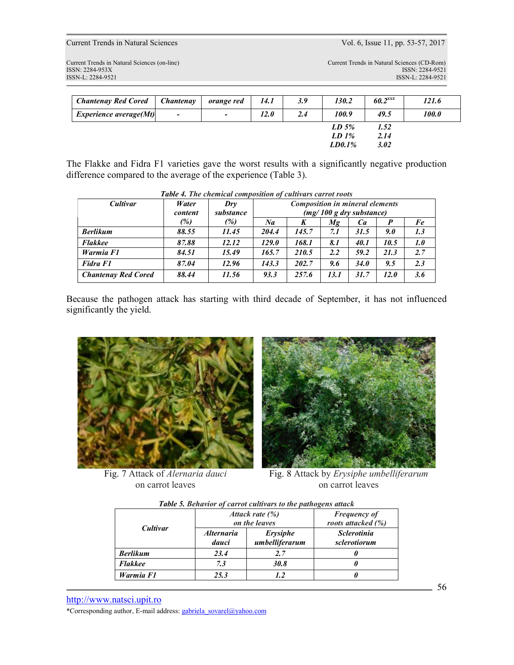Current Trends in Natural Sciences Vol. 6, Issue 11, pp. 53-57, 2017

Current Trends in Natural Sciences (on-line) Current Trends in Natural Sciences (CD-Rom) ISSN: 2284-953XISSN: 2284-9521 ISSN-L: 2284-9521 ISSN-L: 2284-9521

| <b>Chantenay Red Cored</b>    | Chantenay                | orange red               | 14.1 | 3.9 | 130.2     | $60.2$ <sup>xxx</sup> | 121.6 |
|-------------------------------|--------------------------|--------------------------|------|-----|-----------|-----------------------|-------|
| <i>Experience average(Mt)</i> | $\overline{\phantom{a}}$ | $\overline{\phantom{a}}$ | 12.0 | 2.4 | 100.9     | 49.5                  | 100.0 |
|                               |                          |                          |      |     | $LD\,5\%$ | 1.52                  |       |
|                               |                          |                          |      |     | $LD1$ %   | 2.14                  |       |
|                               |                          |                          |      |     | LD0.1%    | 3.02                  |       |

The Flakke and Fidra F1 varieties gave the worst results with a significantly negative production difference compared to the average of the experience (Table 3).

| Cultivar                   | Water   | Dry       | <b>Composition in mineral elements</b> |       |               |                          |      |     |
|----------------------------|---------|-----------|----------------------------------------|-------|---------------|--------------------------|------|-----|
|                            | content | substance |                                        |       |               | (mg/100 g dry substance) |      |     |
|                            | (%)     | (%)       | Na                                     | K     | Мg            | Ca                       |      | Fe  |
| <b>Berlikum</b>            | 88.55   | 11.45     | 204.4                                  | 145.7 | 7.1           | 31.5                     | 9.0  | 1.3 |
| <b>Flakkee</b>             | 87.88   | 12.12     | 129.0                                  | 168.1 | 8.1           | 40.1                     | 10.5 | 1.0 |
| Warmia F1                  | 84.51   | 15.49     | 165.7                                  | 210.5 | $2.2^{\circ}$ | 59.2                     | 21.3 | 2.7 |
| Fidra F1                   | 87.04   | 12.96     | 143.3                                  | 202.7 | 9.6           | 34.0                     | 9.5  | 2.3 |
| <b>Chantenay Red Cored</b> | 88.44   | 11.56     | 93.3                                   | 257.6 | 13.1          | 31.7                     | 12.0 | 3.6 |

Because the pathogen attack has starting with third decade of September, it has not influenced significantly the yield.



Fig. 7 Attack of *Alernaria dauci* on carrot leaves



Fig. 8 Attack by *Erysiphe umbelliferarum* on carrot leaves

| Table 5. Behavior of carrot cultivars to the pathogens attack |  |  |  |  |
|---------------------------------------------------------------|--|--|--|--|
|                                                               |  |  |  |  |

|                 |                                   | Attack rate $(\%)$<br>on the leaves | <b>Frequency of</b><br>roots attacked (%) |
|-----------------|-----------------------------------|-------------------------------------|-------------------------------------------|
| Cultivar        | <i><b>Alternaria</b></i><br>dauci | Erysiphe<br>umbelliferarum          | <b>Sclerotinia</b><br>sclerotiorum        |
| <b>Berlikum</b> | 23.4                              | 2.7                                 |                                           |
| <b>Flakkee</b>  | 7.3                               | 30.8                                |                                           |
| Warmia F1       | 25.3                              | 1.2                                 |                                           |

http://www.natsci.upit.ro

\*Corresponding author, E-mail address: gabriela\_sovarel@yahoo.com